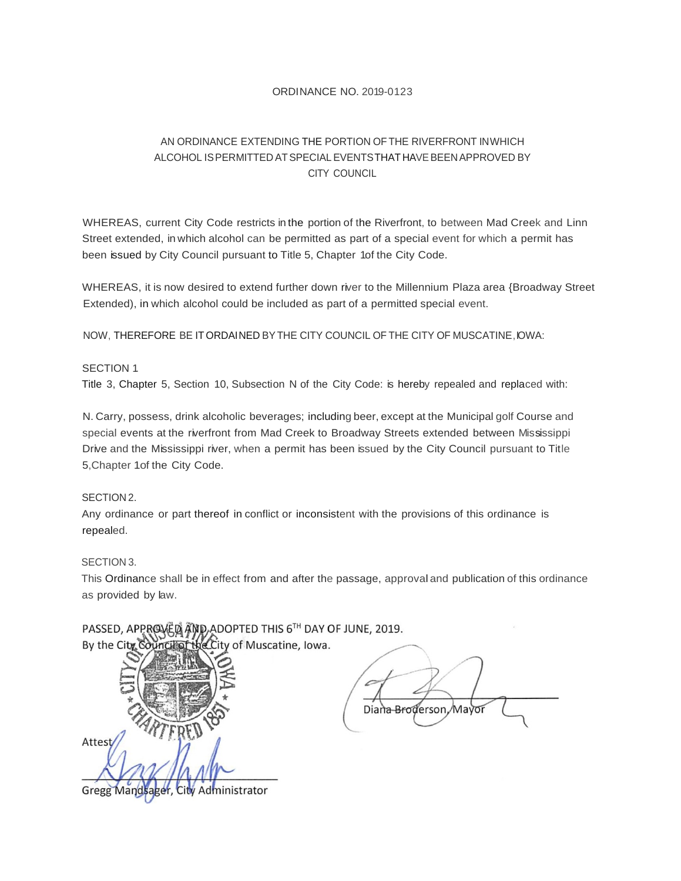## ORDINANCE NO. 2019-0123

# AN ORDINANCE EXTENDING THE PORTION OF THE RIVERFRONT INWHICH ALCOHOL ISPERMITTED ATSPECIALEVENTSTHAT HAVEBEENAPPROVED BY CITY COUNCIL

WHEREAS, current City Code restricts in the portion of the Riverfront, to between Mad Creek and Linn Street extended, in which alcohol can be permitted as part of a special event for which a permit has been issued by City Council pursuant to Title 5, Chapter 1of the City Code.

WHEREAS, it is now desired to extend further down river to the Millennium Plaza area {Broadway Street Extended), in which alcohol could be included as part of a permitted special event.

NOW, THEREFORE BE IT ORDAINED BY THE CITY COUNCIL OF THE CITY OF MUSCATINE, IOWA:

### SECTION 1.

Title 3, Chapter 5, Section 10, Subsection N of the City Code: is hereby repealed and replaced with:

N. Carry, possess, drink alcoholic beverages; including beer, except at the Municipal golf Course and special events at the riverfront from Mad Creek to Broadway Streets extended between Mississippi Drive and the Mississippi river, when a permit has been issued by the City Council pursuant to Title 5,Chapter 1of the City Code.

### SECTION 2.

Any ordinance or part thereof in conflict or inconsistent with the provisions of this ordinance is repealed.

### SECTION 3.

This Ordinance shall be in effect from and after the passage, approval and publication of this ordinance as provided by law.

PASSED, APPROVED AND ADOPTED THIS 6TH DAY OF JUNE, 2019. By the City y of Muscatine, Iowa.



P Diana Broderson Mayo